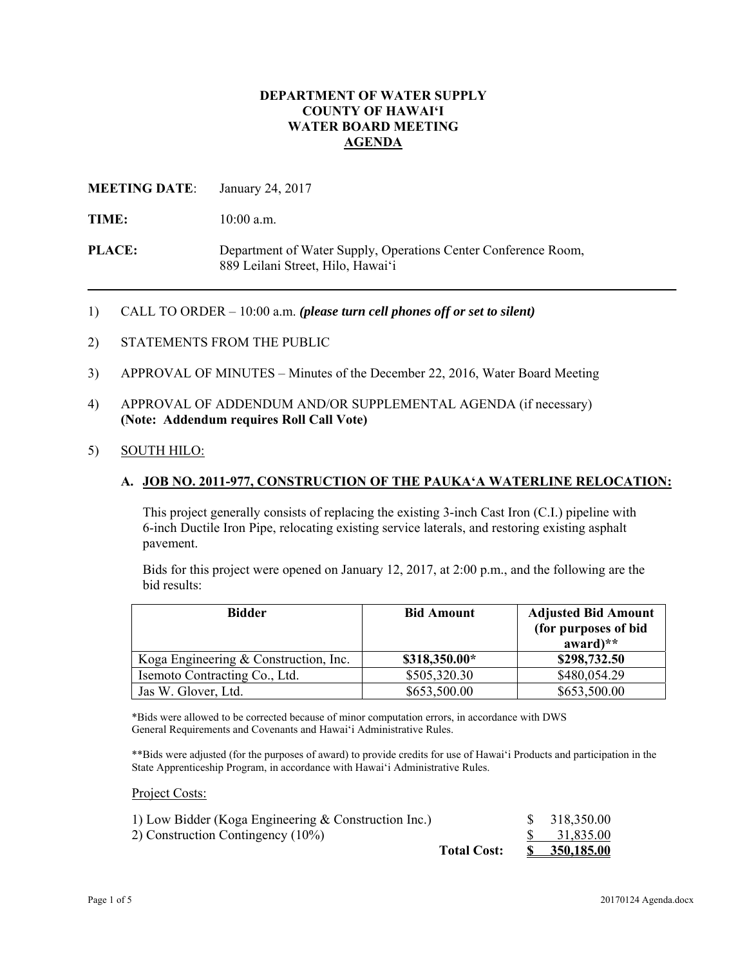## **DEPARTMENT OF WATER SUPPLY COUNTY OF HAWAI'I WATER BOARD MEETING AGENDA**

## **MEETING DATE**: January 24, 2017

TIME:  $10:00$  a.m.

**PLACE:** Department of Water Supply, Operations Center Conference Room, 889 Leilani Street, Hilo, Hawai'i

- 1) CALL TO ORDER 10:00 a.m. *(please turn cell phones off or set to silent)*
- 2) STATEMENTS FROM THE PUBLIC
- 3) APPROVAL OF MINUTES Minutes of the December 22, 2016, Water Board Meeting
- 4) APPROVAL OF ADDENDUM AND/OR SUPPLEMENTAL AGENDA (if necessary) **(Note: Addendum requires Roll Call Vote)**
- 5) SOUTH HILO:

### **A. JOB NO. 2011-977, CONSTRUCTION OF THE PAUKA'A WATERLINE RELOCATION:**

This project generally consists of replacing the existing 3-inch Cast Iron (C.I.) pipeline with 6-inch Ductile Iron Pipe, relocating existing service laterals, and restoring existing asphalt pavement.

Bids for this project were opened on January 12, 2017, at 2:00 p.m., and the following are the bid results:

| <b>Bidder</b>                         | <b>Bid Amount</b> | <b>Adjusted Bid Amount</b><br>(for purposes of bid<br>$award)**$ |
|---------------------------------------|-------------------|------------------------------------------------------------------|
| Koga Engineering & Construction, Inc. | \$318,350.00*     | \$298,732.50                                                     |
| Isemoto Contracting Co., Ltd.         | \$505,320.30      | \$480,054.29                                                     |
| Jas W. Glover, Ltd.                   | \$653,500.00      | \$653,500.00                                                     |

\*Bids were allowed to be corrected because of minor computation errors, in accordance with DWS General Requirements and Covenants and Hawai'i Administrative Rules.

\*\*Bids were adjusted (for the purposes of award) to provide credits for use of Hawai'i Products and participation in the State Apprenticeship Program, in accordance with Hawai'i Administrative Rules.

Project Costs:

|                                                      | <b>Total Cost:</b> | \$ 350,185.00 |
|------------------------------------------------------|--------------------|---------------|
| 2) Construction Contingency (10%)                    |                    | 31,835.00     |
| 1) Low Bidder (Koga Engineering & Construction Inc.) |                    | \$318,350.00  |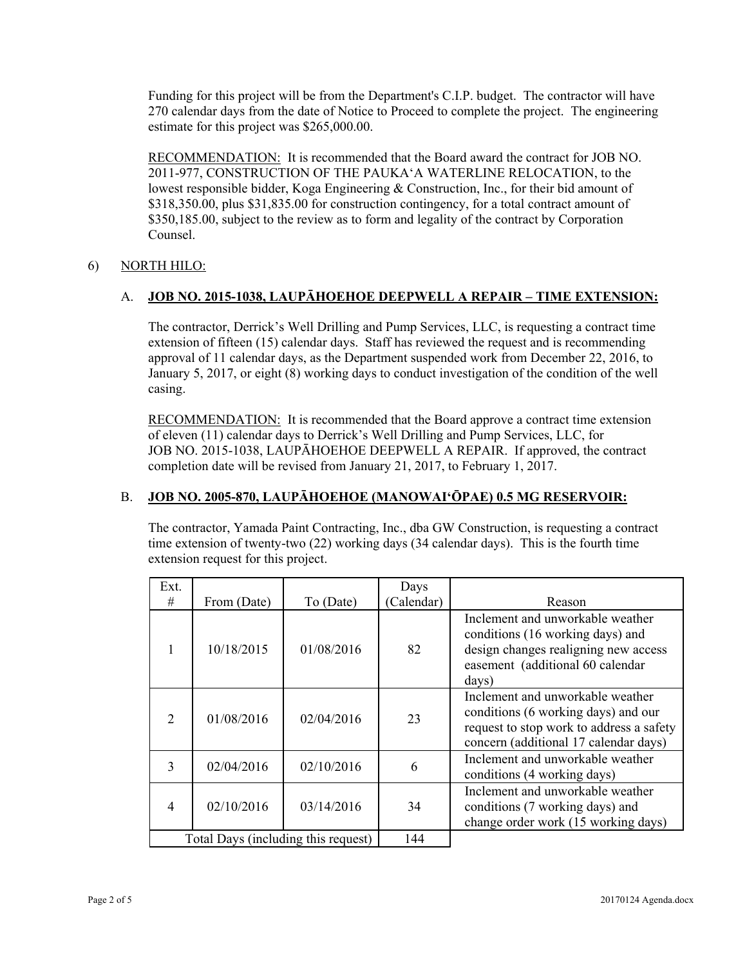Funding for this project will be from the Department's C.I.P. budget. The contractor will have 270 calendar days from the date of Notice to Proceed to complete the project. The engineering estimate for this project was \$265,000.00.

RECOMMENDATION: It is recommended that the Board award the contract for JOB NO. 2011-977, CONSTRUCTION OF THE PAUKA'A WATERLINE RELOCATION, to the lowest responsible bidder, Koga Engineering & Construction, Inc., for their bid amount of \$318,350.00, plus \$31,835.00 for construction contingency, for a total contract amount of \$350,185.00, subject to the review as to form and legality of the contract by Corporation Counsel.

# 6) NORTH HILO:

# A. **JOB NO. 2015-1038, LAUPĀHOEHOE DEEPWELL A REPAIR – TIME EXTENSION:**

The contractor, Derrick's Well Drilling and Pump Services, LLC, is requesting a contract time extension of fifteen (15) calendar days. Staff has reviewed the request and is recommending approval of 11 calendar days, as the Department suspended work from December 22, 2016, to January 5, 2017, or eight (8) working days to conduct investigation of the condition of the well casing.

RECOMMENDATION: It is recommended that the Board approve a contract time extension of eleven (11) calendar days to Derrick's Well Drilling and Pump Services, LLC, for JOB NO. 2015-1038, LAUPĀHOEHOE DEEPWELL A REPAIR. If approved, the contract completion date will be revised from January 21, 2017, to February 1, 2017.

## B. **JOB NO. 2005-870, LAUPĀHOEHOE (MANOWAI'ŌPAE) 0.5 MG RESERVOIR:**

The contractor, Yamada Paint Contracting, Inc., dba GW Construction, is requesting a contract time extension of twenty-two (22) working days (34 calendar days). This is the fourth time extension request for this project.

|             | Ext.<br>#                           | From (Date) | To (Date)  | Days<br>Calendar) | Reason                                                                                                                                                       |
|-------------|-------------------------------------|-------------|------------|-------------------|--------------------------------------------------------------------------------------------------------------------------------------------------------------|
|             | 1                                   | 10/18/2015  | 01/08/2016 | 82                | Inclement and unworkable weather<br>conditions (16 working days) and<br>design changes realigning new access<br>easement (additional 60 calendar<br>days)    |
|             | 2                                   | 01/08/2016  | 02/04/2016 | 23                | Inclement and unworkable weather<br>conditions (6 working days) and our<br>request to stop work to address a safety<br>concern (additional 17 calendar days) |
|             | 3                                   | 02/04/2016  | 02/10/2016 | 6                 | Inclement and unworkable weather<br>conditions (4 working days)                                                                                              |
|             | $\overline{4}$                      | 02/10/2016  | 03/14/2016 | 34                | Inclement and unworkable weather<br>conditions (7 working days) and<br>change order work (15 working days)                                                   |
|             | Total Days (including this request) |             | 144        |                   |                                                                                                                                                              |
| Page 2 of 5 |                                     |             |            |                   | $20170124$ Agenda.docx                                                                                                                                       |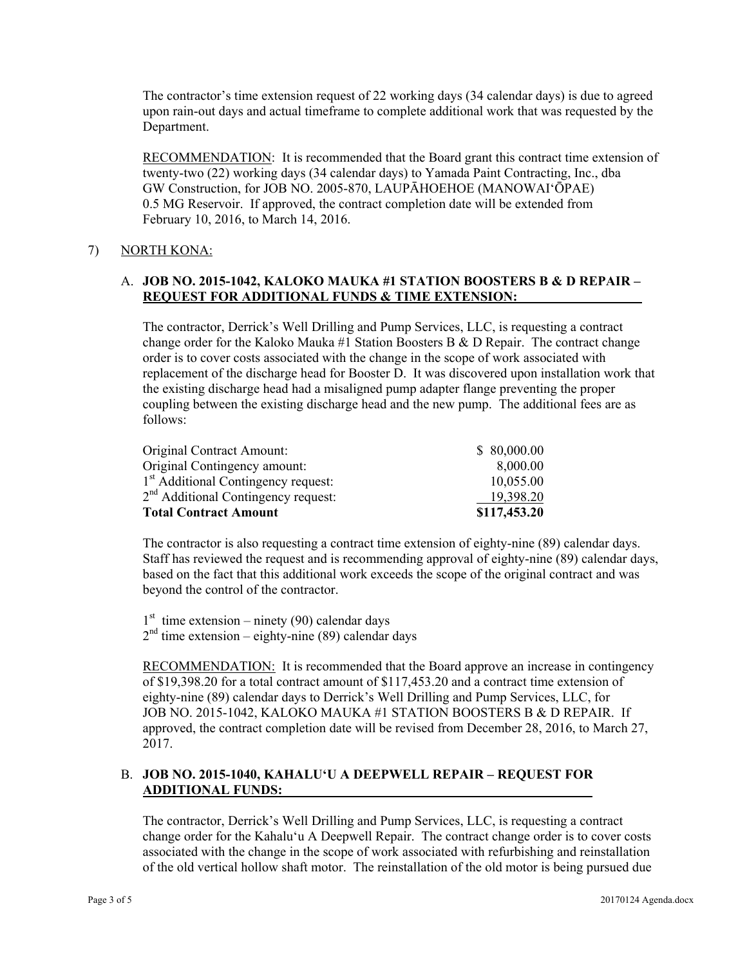The contractor's time extension request of 22 working days (34 calendar days) is due to agreed upon rain-out days and actual timeframe to complete additional work that was requested by the Department.

RECOMMENDATION: It is recommended that the Board grant this contract time extension of twenty-two (22) working days (34 calendar days) to Yamada Paint Contracting, Inc., dba GW Construction, for JOB NO. 2005-870, LAUPĀHOEHOE (MANOWAI'ŌPAE) 0.5 MG Reservoir. If approved, the contract completion date will be extended from February 10, 2016, to March 14, 2016.

# 7) NORTH KONA:

# A. **JOB NO. 2015-1042, KALOKO MAUKA #1 STATION BOOSTERS B & D REPAIR – REQUEST FOR ADDITIONAL FUNDS & TIME EXTENSION:**

The contractor, Derrick's Well Drilling and Pump Services, LLC, is requesting a contract change order for the Kaloko Mauka #1 Station Boosters B & D Repair. The contract change order is to cover costs associated with the change in the scope of work associated with replacement of the discharge head for Booster D. It was discovered upon installation work that the existing discharge head had a misaligned pump adapter flange preventing the proper coupling between the existing discharge head and the new pump. The additional fees are as follows:

| Original Contract Amount:                       | \$80,000.00  |
|-------------------------------------------------|--------------|
| Original Contingency amount:                    | 8,000.00     |
| 1 <sup>st</sup> Additional Contingency request: | 10,055.00    |
| 2 <sup>nd</sup> Additional Contingency request: | 19,398.20    |
| <b>Total Contract Amount</b>                    | \$117,453.20 |

The contractor is also requesting a contract time extension of eighty-nine (89) calendar days. Staff has reviewed the request and is recommending approval of eighty-nine (89) calendar days, based on the fact that this additional work exceeds the scope of the original contract and was beyond the control of the contractor.

 $1<sup>st</sup>$  time extension – ninety (90) calendar days

 $2<sup>nd</sup>$  time extension – eighty-nine (89) calendar days

RECOMMENDATION: It is recommended that the Board approve an increase in contingency of \$19,398.20 for a total contract amount of \$117,453.20 and a contract time extension of eighty-nine (89) calendar days to Derrick's Well Drilling and Pump Services, LLC, for JOB NO. 2015-1042, KALOKO MAUKA #1 STATION BOOSTERS B & D REPAIR. If approved, the contract completion date will be revised from December 28, 2016, to March 27, 2017.

# B. **JOB NO. 2015-1040, KAHALU'U A DEEPWELL REPAIR – REQUEST FOR ADDITIONAL FUNDS:**

The contractor, Derrick's Well Drilling and Pump Services, LLC, is requesting a contract change order for the Kahalu'u A Deepwell Repair. The contract change order is to cover costs associated with the change in the scope of work associated with refurbishing and reinstallation of the old vertical hollow shaft motor. The reinstallation of the old motor is being pursued due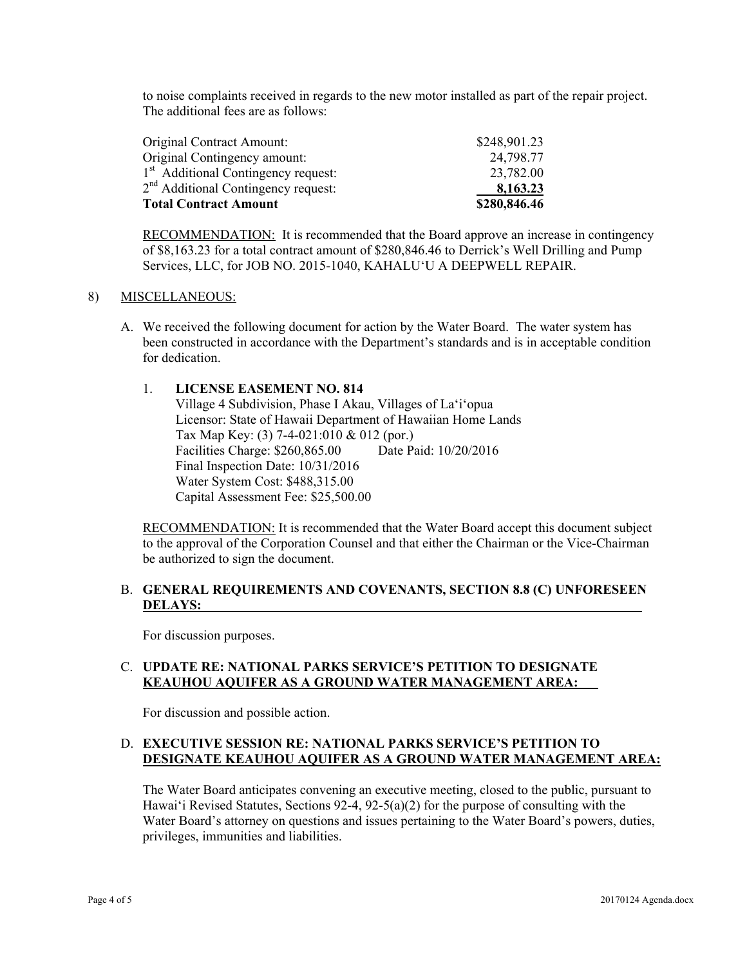to noise complaints received in regards to the new motor installed as part of the repair project. The additional fees are as follows:

| Original Contract Amount:                       | \$248,901.23 |
|-------------------------------------------------|--------------|
| Original Contingency amount:                    | 24,798.77    |
| 1 <sup>st</sup> Additional Contingency request: | 23,782.00    |
| 2 <sup>nd</sup> Additional Contingency request: | 8,163.23     |
| <b>Total Contract Amount</b>                    | \$280,846.46 |

**RECOMMENDATION:** It is recommended that the Board approve an increase in contingency of \$8,163.23 for a total contract amount of \$280,846.46 to Derrick's Well Drilling and Pump Services, LLC, for JOB NO. 2015-1040, KAHALU'U A DEEPWELL REPAIR.

#### 8) MISCELLANEOUS:

- A. We received the following document for action by the Water Board. The water system has been constructed in accordance with the Department's standards and is in acceptable condition for dedication.
	- 1. **LICENSE EASEMENT NO. 814**  Village 4 Subdivision, Phase I Akau, Villages of La'i'opua Licensor: State of Hawaii Department of Hawaiian Home Lands Tax Map Key: (3) 7-4-021:010 & 012 (por.)<br>Facilities Charge: \$260.865.00 Date Paid: 10/20/2016 Facilities Charge: \$260,865.00 Final Inspection Date: 10/31/2016 Water System Cost: \$488,315.00 Capital Assessment Fee: \$25,500.00

RECOMMENDATION: It is recommended that the Water Board accept this document subject to the approval of the Corporation Counsel and that either the Chairman or the Vice-Chairman be authorized to sign the document.

### B. **GENERAL REQUIREMENTS AND COVENANTS, SECTION 8.8 (C) UNFORESEEN DELAYS:**

For discussion purposes.

### C. **UPDATE RE: NATIONAL PARKS SERVICE'S PETITION TO DESIGNATE KEAUHOU AQUIFER AS A GROUND WATER MANAGEMENT AREA:**

For discussion and possible action.

# D. **EXECUTIVE SESSION RE: NATIONAL PARKS SERVICE'S PETITION TO DESIGNATE KEAUHOU AQUIFER AS A GROUND WATER MANAGEMENT AREA:**

The Water Board anticipates convening an executive meeting, closed to the public, pursuant to Hawai'i Revised Statutes, Sections 92-4, 92-5(a)(2) for the purpose of consulting with the Water Board's attorney on questions and issues pertaining to the Water Board's powers, duties, privileges, immunities and liabilities.